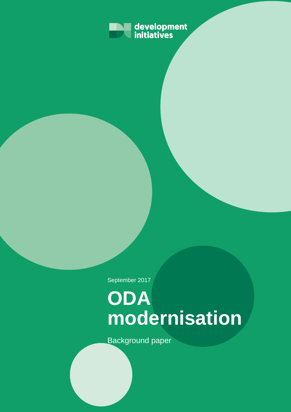

September 2017

# **ODA modernisation**

Background paper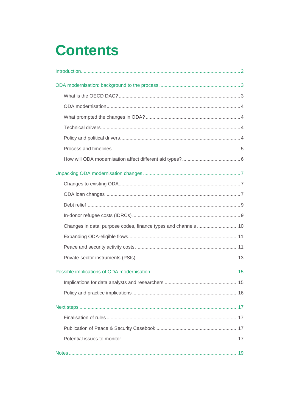## **Contents**

| Changes in data: purpose codes, finance types and channels  10 |
|----------------------------------------------------------------|
|                                                                |
|                                                                |
|                                                                |
|                                                                |
|                                                                |
|                                                                |
|                                                                |
|                                                                |
|                                                                |
|                                                                |
|                                                                |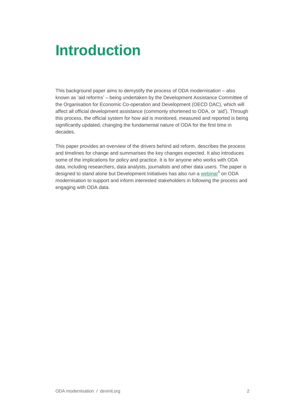## <span id="page-2-0"></span>**Introduction**

This background paper aims to demystify the process of ODA modernisation – also known as 'aid reforms' – being undertaken by the Development Assistance Committee of the Organisation for Economic Co-operation and Development (OECD DAC), which will affect all official development assistance (commonly shortened to ODA, or 'aid'). Through this process, the official system for how aid is monitored, measured and reported is being significantly updated, changing the fundamental nature of ODA for the first time in decades.

This paper provides an overview of the drivers behind aid reform, describes the process and timelines for change and summarises the key changes expected. It also introduces some of the implications for policy and practice. It is for anyone who works with ODA data, including researchers, data analysts, journalists and other data users. The paper is designed to stand alone but Development Initiatives has also run a [webinar](http://devinit.org/post/oda-modernisation-background-paper-changing-rules-aid/)<sup>1</sup> on ODA modernisation to support and inform interested stakeholders in following the process and engaging with ODA data.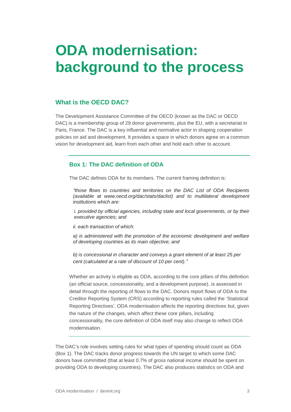## <span id="page-3-0"></span>**ODA modernisation: background to the process**

## <span id="page-3-1"></span>**What is the OECD DAC?**

The Development Assistance Committee of the OECD (known as the DAC or OECD DAC) is a membership group of 29 donor governments, plus the EU, with a secretariat in Paris, France. The DAC is a key influential and normative actor in shaping cooperation policies on aid and development. It provides a space in which donors agree on a common vision for development aid, learn from each other and hold each other to account.

## **Box 1: The DAC definition of ODA**

The DAC defines ODA for its members. The current framing definition is:

*"those flows to countries and territories on the DAC List of ODA Recipients (available at www.oecd.org/dac/stats/daclist) and to multilateral development institutions which are:* 

*i. provided by official agencies, including state and local governments, or by their executive agencies; and* 

*ii. each transaction of which:* 

*a) is administered with the promotion of the economic development and welfare of developing countries as its main objective; and* 

*b) is concessional in character and conveys a grant element of at least 25 per cent (calculated at a rate of discount of 10 per cent)."*

Whether an activity is eligible as ODA, according to the core pillars of this definition (an official source, concessionality, and a development purpose), is assessed in detail through the reporting of flows to the DAC. Donors report flows of ODA to the Creditor Reporting System (CRS) according to reporting rules called the 'Statistical Reporting Directives'. ODA modernisation affects the reporting directives but, given the nature of the changes, which affect these core pillars, including concessionality, the core definition of ODA itself may also change to reflect ODA modernisation.

The DAC's role involves setting rules for what types of spending should count as ODA (Box 1). The DAC tracks donor progress towards the UN target to which some DAC donors have committed (that at least 0.7% of gross national income should be spent on providing ODA to developing countries). The DAC also produces statistics on ODA and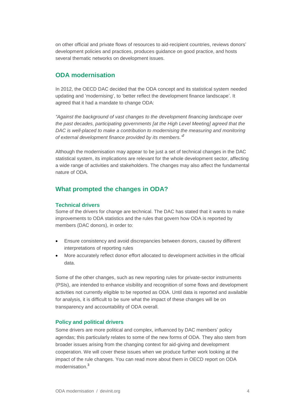on other official and private flows of resources to aid-recipient countries, reviews donors' development policies and practices, produces guidance on good practice, and hosts several thematic networks on development issues.

## <span id="page-4-0"></span>**ODA modernisation**

In 2012, the OECD DAC decided that the ODA concept and its statistical system needed updating and 'modernising', to 'better reflect the development finance landscape'. It agreed that it had a mandate to change ODA:

*"Against the background of vast changes to the development financing landscape over the past decades, participating governments [at the High Level Meeting] agreed that the DAC is well-placed to make a contribution to modernising the measuring and monitoring of external development finance provided by its members." 2*

Although the modernisation may appear to be just a set of technical changes in the DAC statistical system, its implications are relevant for the whole development sector, affecting a wide range of activities and stakeholders. The changes may also affect the fundamental nature of ODA.

## <span id="page-4-2"></span><span id="page-4-1"></span>**What prompted the changes in ODA?**

#### **Technical drivers**

Some of the drivers for change are technical. The DAC has stated that it wants to make improvements to ODA statistics and the rules that govern how ODA is reported by members (DAC donors), in order to:

- Ensure consistency and avoid discrepancies between donors, caused by different interpretations of reporting rules
- More accurately reflect donor effort allocated to development activities in the official data.

Some of the other changes, such as new reporting rules for private-sector instruments (PSIs), are intended to enhance visibility and recognition of some flows and development activities not currently eligible to be reported as ODA. Until data is reported and available for analysis, it is difficult to be sure what the impact of these changes will be on transparency and accountability of ODA overall.

#### <span id="page-4-3"></span>**Policy and political drivers**

Some drivers are more political and complex, influenced by DAC members' policy agendas; this particularly relates to some of the new forms of ODA. They also stem from broader issues arising from the changing context for aid-giving and development cooperation. We will cover these issues when we produce further work looking at the impact of the rule changes. You can read more about them in OECD report on ODA modernisation. 3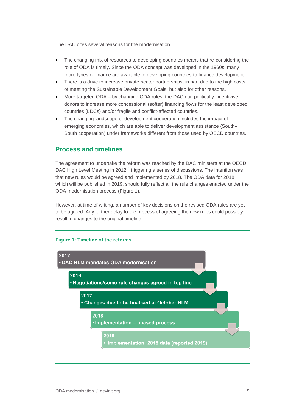The DAC cites several reasons for the modernisation.

- The changing mix of resources to developing countries means that re-considering the role of ODA is timely. Since the ODA concept was developed in the 1960s, many more types of finance are available to developing countries to finance development.
- There is a drive to increase private-sector partnerships, in part due to the high costs of meeting the Sustainable Development Goals, but also for other reasons.
- More targeted ODA by changing ODA rules, the DAC can politically incentivise donors to increase more concessional (softer) financing flows for the least developed countries (LDCs) and/or fragile and conflict-affected countries.
- The changing landscape of development cooperation includes the impact of emerging economies, which are able to deliver development assistance (South– South cooperation) under frameworks different from those used by OECD countries.

## <span id="page-5-0"></span>**Process and timelines**

The agreement to undertake the reform was reached by the DAC ministers at the OECD DAC High Level Meeting in 2012,<sup>4</sup> triggering a series of discussions. The intention was that new rules would be agreed and implemented by 2018. The ODA data for 2018, which will be published in 2019, should fully reflect all the rule changes enacted under the ODA modernisation process (Figure 1).

However, at time of writing, a number of key decisions on the revised ODA rules are yet to be agreed. Any further delay to the process of agreeing the new rules could possibly result in changes to the original timeline.

### **Figure 1: Timeline of the reforms**

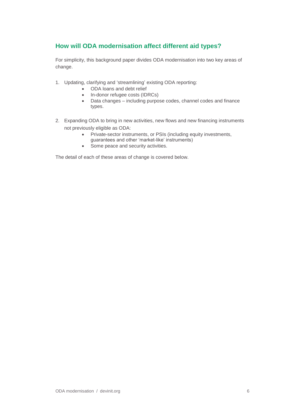## <span id="page-6-0"></span>**How will ODA modernisation affect different aid types?**

For simplicity, this background paper divides ODA modernisation into two key areas of change.

- 1. Updating, clarifying and 'streamlining' existing ODA reporting:
	- ODA loans and debt relief
	- In-donor refugee costs (IDRCs)
	- Data changes including purpose codes, channel codes and finance types.
- 2. Expanding ODA to bring in new activities, new flows and new financing instruments not previously eligible as ODA:
	- Private-sector instruments, or PSIs (including equity investments, guarantees and other 'market-like' instruments)
	- Some peace and security activities.

The detail of each of these areas of change is covered below.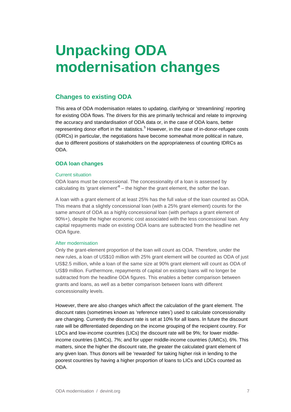## <span id="page-7-0"></span>**Unpacking ODA modernisation changes**

## <span id="page-7-1"></span>**Changes to existing ODA**

This area of ODA modernisation relates to updating, clarifying or 'streamlining' reporting for existing ODA flows. The drivers for this are primarily technical and relate to improving the accuracy and standardisation of ODA data or, in the case of ODA loans, better representing donor effort in the statistics.<sup>5</sup> However, in the case of in-donor-refugee costs (IDRCs) in particular, the negotiations have become somewhat more political in nature, due to different positions of stakeholders on the appropriateness of counting IDRCs as ODA.

## <span id="page-7-2"></span>**ODA loan changes**

#### Current situation

ODA loans must be concessional. The concessionality of a loan is assessed by calculating its 'grant element' $6 -$  the higher the grant element, the softer the loan.

A loan with a grant element of at least 25% has the full value of the loan counted as ODA. This means that a slightly concessional loan (with a 25% grant element) counts for the same amount of ODA as a highly concessional loan (with perhaps a grant element of 90%+), despite the higher economic cost associated with the less concessional loan. Any capital repayments made on existing ODA loans are subtracted from the headline net ODA figure.

### After modernisation

Only the grant-element proportion of the loan will count as ODA. Therefore, under the new rules, a loan of US\$10 million with 25% grant element will be counted as ODA of just US\$2.5 million, while a loan of the same size at 90% grant element will count as ODA of US\$9 million. Furthermore, repayments of capital on existing loans will no longer be subtracted from the headline ODA figures. This enables a better comparison between grants and loans, as well as a better comparison between loans with different concessionality levels.

However, there are also changes which affect the calculation of the grant element. The discount rates (sometimes known as 'reference rates') used to calculate concessionality are changing. Currently the discount rate is set at 10% for all loans. In future the discount rate will be differentiated depending on the income grouping of the recipient country. For LDCs and low-income countries (LICs) the discount rate will be 9%; for lower middleincome countries (LMICs), 7%; and for upper middle-income countries (UMICs), 6%. This matters, since the higher the discount rate, the greater the calculated grant element of any given loan. Thus donors will be 'rewarded' for taking higher risk in lending to the poorest countries by having a higher proportion of loans to LICs and LDCs counted as ODA.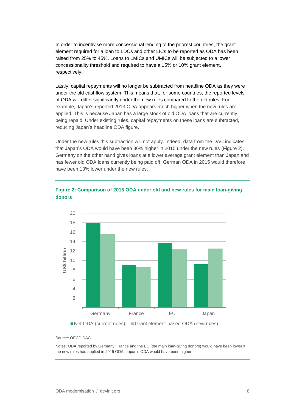In order to incentivise more concessional lending to the poorest countries, the grant element required for a loan to LDCs and other LICs to be reported as ODA has been raised from 25% to 45%. Loans to LMICs and UMICs will be subjected to a lower concessionality threshold and required to have a 15% or 10% grant element, respectively.

Lastly, capital repayments will no longer be subtracted from headline ODA as they were under the old cashflow system. This means that, for some countries, the reported levels of ODA will differ significantly under the new rules compared to the old rules. For example, Japan's reported 2013 ODA appears much higher when the new rules are applied. This is because Japan has a large stock of old ODA loans that are currently being repaid. Under existing rules, capital repayments on these loans are subtracted, reducing Japan's headline ODA figure.

Under the new rules this subtraction will not apply. Indeed, data from the DAC indicates that Japan's ODA would have been 36% higher in 2015 under the new rules (Figure 2). Germany on the other hand gives loans at a lower average grant element than Japan and has fewer old ODA loans currently being paid off. German ODA in 2015 would therefore have been 13% lower under the new rules.



## **Figure 2: Comparison of 2015 ODA under old and new rules for main loan-giving donors**

Source: OECD DAC.

Notes: ODA reported by Germany, France and the EU (the main loan-giving donors) would have been lower if the new rules had applied in 2015 ODA; Japan's ODA would have been higher.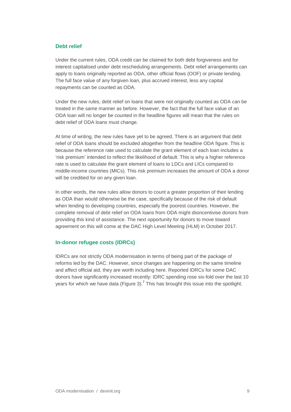## <span id="page-9-0"></span>**Debt relief**

Under the current rules, ODA credit can be claimed for both debt forgiveness and for interest capitalised under debt rescheduling arrangements. Debt relief arrangements can apply to loans originally reported as ODA, other official flows (OOF) or private lending. The full face value of any forgiven loan, plus accrued interest, less any capital repayments can be counted as ODA.

Under the new rules, debt relief on loans that were not originally counted as ODA can be treated in the same manner as before. However, the fact that the full face value of an ODA loan will no longer be counted in the headline figures will mean that the rules on debt relief of ODA loans must change.

At time of writing, the new rules have yet to be agreed. There is an argument that debt relief of ODA loans should be excluded altogether from the headline ODA figure. This is because the reference rate used to calculate the grant element of each loan includes a 'risk premium' intended to reflect the likelihood of default. This is why a higher reference rate is used to calculate the grant element of loans to LDCs and LICs compared to middle-income countries (MICs). This risk premium increases the amount of ODA a donor will be creditied for on any given loan.

In other words, the new rules allow donors to count a greater proportion of their lending as ODA than would otherwise be the case, specifically because of the risk of default when lending to developing countries, especially the poorest countries. However, the complete removal of debt relief on ODA loans from ODA might disincentivise donors from providing this kind of assistance. The next opportunity for donors to move toward agreement on this will come at the DAC High Level Meeting (HLM) in October 2017.

### <span id="page-9-1"></span>**In-donor refugee costs (IDRCs)**

IDRCs are not strictly ODA modernisation in terms of being part of the package of reforms led by the DAC. However, since changes are happening on the same timeline and affect official aid, they are worth including here. Reported IDRCs for some DAC donors have significantly increased recently: IDRC spending rose six-fold over the last 10 years for which we have data (Figure 3).<sup>7</sup> This has brought this issue into the spotlight.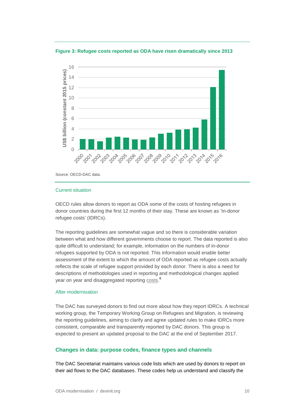**Figure 3: Refugee costs reported as ODA have risen dramatically since 2013**



Source: OECD-DAC data.

#### Current situation

OECD rules allow donors to report as ODA some of the costs of hosting refugees in donor countries during the first 12 months of their stay. These are known as 'In-donor refugee costs' (IDRCs).

The reporting guidelines are somewhat vague and so there is considerable variation between what and how different governments choose to report. The data reported is also quite difficult to understand; for example, information on the numbers of in-donor refugees supported by ODA is not reported. This information would enable better assessment of the extent to which the amount of ODA reported as refugee costs actually reflects the scale of refugee support provided by each donor. There is also a need for descriptions of methodologies used in reporting and methodological changes applied year on year and disaggregated reporting [costs.](http://devinit.org/wp-content/uploads/2017/09/Strengthening-transparency-of-OECD-DAC-reporting-on-in-donor-refugee-hosting-costs.pdf)<sup>8</sup>

#### After modernisation

The DAC has surveyed donors to find out more about how they report IDRCs. A technical working group, the Temporary Working Group on Refugees and Migration, is reviewing the reporting guidelines, aiming to clarify and agree updated rules to make IDRCs more consistent, comparable and transparently reported by DAC donors. This group is expected to present an updated proposal to the DAC at the end of September 2017.

### <span id="page-10-0"></span>**Changes in data: purpose codes, finance types and channels**

The DAC Secretariat maintains various code lists which are used by donors to report on their aid flows to the DAC databases. These codes help us understand and classify the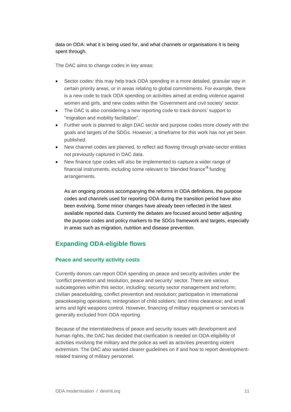data on ODA: what it is being used for, and what channels or organisations it is being spent through.

The DAC aims to change codes in key areas:

- Sector codes: this may help track ODA spending in a more detailed, granular way in certain priority areas, or in areas relating to global commitments. For example, there is a new code to track ODA spending on activities aimed at ending violence against women and girls, and new codes within the 'Government and civil society' sector.
- The DAC is also considering a new reporting code to track donors' support to "migration and mobility facilitation".
- Further work is planned to align DAC sector and purpose codes more closely with the goals and targets of the SDGs. However, a timeframe for this work has not yet been published.
- New channel codes are planned, to reflect aid flowing through private-sector entities not previously captured in DAC data.
- New finance type codes will also be implemented to capture a wider range of financial instruments, including some relevant to 'blended finance'<sup>9</sup> funding arrangements.

As an ongoing process accompanying the reforms in ODA definitions, the purpose codes and channels used for reporting ODA during the transition period have also been evolving. Some minor changes have already been reflected in the latest available reported data. Currently the debates are focused around better adjusting the purpose codes and policy markers to the SDGs framework and targets, especially in areas such as migration, nutrition and disease prevention.

## <span id="page-11-1"></span><span id="page-11-0"></span>**Expanding ODA-eligible flows**

### **Peace and security activity costs**

Currently donors can report ODA spending on peace and security activities under the 'conflict prevention and resolution, peace and security' sector. There are various subcategories within this sector, including: security sector management and reform; civilian peacebuilding, conflict prevention and resolution; participation in international peacekeeping operations; reintegration of child soldiers; land mine clearance; and small arms and light weapons control. However, financing of military equipment or services is generally excluded from ODA reporting.

Because of the interrelatedness of peace and security issues with development and human rights, the DAC has decided that clarification is needed on ODA-eligibility of activities involving the military and the police as well as activities preventing violent extremism. The DAC also wanted clearer guidelines on if and how to report developmentrelated training of military personnel.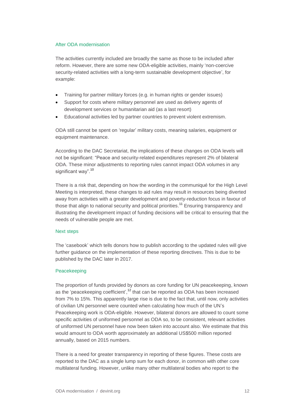#### After ODA modernisation

The activities currently included are broadly the same as those to be included after reform. However, there are some new ODA-eligible activities, mainly 'non-coercive security-related activities with a long-term sustainable development objective', for example:

- Training for partner military forces (e.g. in human rights or gender issues)
- Support for costs where military personnel are used as delivery agents of development services or humanitarian aid (as a last resort)
- Educational activities led by partner countries to prevent violent extremism.

ODA still cannot be spent on 'regular' military costs, meaning salaries, equipment or equipment maintenance.

According to the DAC Secretariat, the implications of these changes on ODA levels will not be significant: "Peace and security-related expenditures represent 2% of bilateral ODA. These minor adjustments to reporting rules cannot impact ODA volumes in any significant way".<sup>10</sup>

There is a risk that, depending on how the wording in the communiqué for the High Level Meeting is interpreted, these changes to aid rules may result in resources being diverted away from activities with a greater development and poverty-reduction focus in favour of those that align to national security and political priorities.<sup>11</sup> Ensuring transparency and illustrating the development impact of funding decisions will be critical to ensuring that the needs of vulnerable people are met.

### Next steps

The 'casebook' which tells donors how to publish according to the updated rules will give further guidance on the implementation of these reporting directives. This is due to be published by the DAC later in 2017.

### Peacekeeping

The proportion of funds provided by donors as core funding for UN peacekeeping, known as the 'peacekeeping coefficient',<sup>12</sup> that can be reported as ODA has been increased from 7% to 15%. This apparently large rise is due to the fact that, until now, only activities of civilian UN personnel were counted when calculating how much of the UN's Peacekeeping work is ODA-eligible. However, bilateral donors are allowed to count some specific activities of uniformed personnel as ODA so, to be consistent, relevant activities of uniformed UN personnel have now been taken into account also. We estimate that this would amount to ODA worth approximately an additional US\$500 million reported annually, based on 2015 numbers.

There is a need for greater transparency in reporting of these figures. These costs are reported to the DAC as a single lump sum for each donor, in common with other core multilateral funding. However, unlike many other multilateral bodies who report to the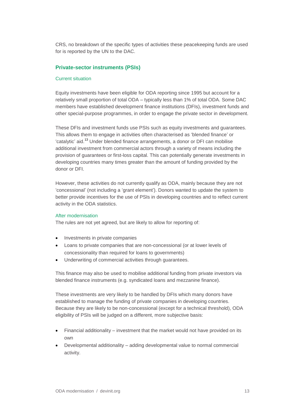CRS, no breakdown of the specific types of activities these peacekeeping funds are used for is reported by the UN to the DAC.

#### <span id="page-13-0"></span>**Private-sector instruments (PSIs)**

#### Current situation

Equity investments have been eligible for ODA reporting since 1995 but account for a relatively small proportion of total ODA – typically less than 1% of total ODA. Some DAC members have established development finance institutions (DFIs), investment funds and other special-purpose programmes, in order to engage the private sector in development.

These DFIs and investment funds use PSIs such as equity investments and guarantees. This allows them to engage in activities often characterised as 'blended finance' or 'catalytic' aid.<sup>13</sup> Under blended finance arrangements, a donor or DFI can mobilise additional investment from commercial actors through a variety of means including the provision of guarantees or first-loss capital. This can potentially generate investments in developing countries many times greater than the amount of funding provided by the donor or DFI.

However, these activities do not currently qualify as ODA, mainly because they are not 'concessional' (not including a 'grant element'). Donors wanted to update the system to better provide incentives for the use of PSIs in developing countries and to reflect current activity in the ODA statistics.

#### After modernisation

The rules are not yet agreed, but are likely to allow for reporting of:

- Investments in private companies
- Loans to private companies that are non-concessional (or at lower levels of concessionality than required for loans to governments)
- Underwriting of commercial activities through guarantees.

This finance may also be used to mobilise additional funding from private investors via blended finance instruments (e.g. syndicated loans and mezzanine finance).

These investments are very likely to be handled by DFIs which many donors have established to manage the funding of private companies in developing countries. Because they are likely to be non-concessional (except for a technical threshold), ODA eligibility of PSIs will be judged on a different, more subjective basis:

- Financial additionality investment that the market would not have provided on its own
- Developmental additionality adding developmental value to normal commercial activity.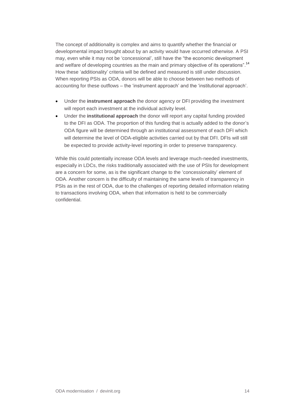The concept of additionality is complex and aims to quantify whether the financial or developmental impact brought about by an activity would have occurred otherwise. A PSI may, even while it may not be 'concessional', still have the "the economic development and welfare of developing countries as the main and primary objective of its operations".<sup>14</sup> How these 'additionality' criteria will be defined and measured is still under discussion. When reporting PSIs as ODA, donors will be able to choose between two methods of accounting for these outflows – the 'instrument approach' and the 'institutional approach'.

- Under the **instrument approach** the donor agency or DFI providing the investment will report each investment at the individual activity level.
- Under the **institutional approach** the donor will report any capital funding provided to the DFI as ODA. The proportion of this funding that is actually added to the donor's ODA figure will be determined through an institutional assessment of each DFI which will determine the level of ODA-eligible activities carried out by that DFI. DFIs will still be expected to provide activity-level reporting in order to preserve transparency.

While this could potentially increase ODA levels and leverage much-needed investments, especially in LDCs, the risks traditionally associated with the use of PSIs for development are a concern for some, as is the significant change to the 'concessionality' element of ODA. Another concern is the difficulty of maintaining the same levels of transparency in PSIs as in the rest of ODA, due to the challenges of reporting detailed information relating to transactions involving ODA, when that information is held to be commercially confidential.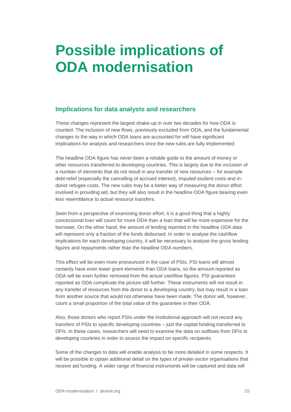## <span id="page-15-0"></span>**Possible implications of ODA modernisation**

## <span id="page-15-1"></span>**Implications for data analysts and researchers**

These changes represent the largest shake-up in over two decades for how ODA is counted. The inclusion of new flows, previously excluded from ODA, and the fundamental changes to the way in which ODA loans are accounted for will have significant implications for analysts and researchers once the new rules are fully implemented.

The headline ODA figure has never been a reliable guide to the amount of money or other resources transferred to developing countries. This is largely due to the inclusion of a number of elements that do not result in any transfer of new resources – for example debt relief (especially the cancelling of accrued interest), imputed student costs and indonor refugee costs. The new rules may be a better way of measuring the donor effort involved in providing aid, but they will also result in the headline ODA figure bearing even less resemblance to actual resource transfers.

Seen from a perspective of examining donor effort, it is a good thing that a highly concessional loan will count for more ODA than a loan that will be more expensive for the borrower. On the other hand, the amount of lending reported in the headline ODA data will represent only a fraction of the funds disbursed. In order to analyse the cashflow implications for each developing country, it will be necessary to analyse the gross lending figures and repayments rather than the headline ODA numbers.

This effect will be even more pronounced in the case of PSIs. PSI loans will almost certainly have even lower grant elements than ODA loans, so the amount reported as ODA will be even further removed from the actual cashflow figures. PSI guarantees reported as ODA complicate the picture still further. These instruments will not result in any transfer of resources from the donor to a developing country, but may result in a loan from another source that would not otherwise have been made. The donor will, however, count a small proportion of the total value of the guarantee in their ODA.

Also, those donors who report PSIs under the institutional approach will not record any transfers of PSIs to specific developing countries – just the capital funding transferred to DFIs. In these cases, researchers will need to examine the data on outflows from DFIs to developing countries in order to assess the impact on specific recipients.

Some of the changes to data will enable analysis to be more detailed in some respects. It will be possible to optain additional detail on the types of private-sector organisations that receive aid funding. A wider range of financial instruments will be captured and data will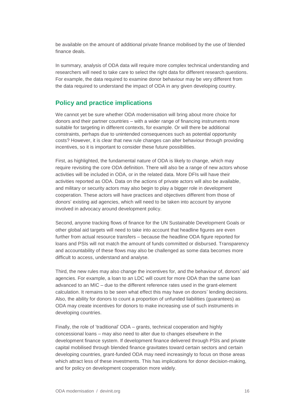be available on the amount of additional private finance mobilised by the use of blended finance deals.

In summary, analysis of ODA data will require more complex technical understanding and researchers will need to take care to select the right data for different research questions. For example, the data required to examine donor behaviour may be very different from the data required to understand the impact of ODA in any given developing country.

## <span id="page-16-0"></span>**Policy and practice implications**

We cannot yet be sure whether ODA modernisation will bring about more choice for donors and their partner countries – with a wider range of financing instruments more suitable for targeting in different contexts, for example. Or will there be additional constraints, perhaps due to unintended consequences such as potential opportunity costs? However, it is clear that new rule changes can alter behaviour through providing incentives, so it is important to consider these future possibilities.

First, as highlighted, the fundamental nature of ODA is likely to change, which may require revisiting the core ODA definition. There will also be a range of new actors whose activities will be included in ODA, or in the related data. More DFIs will have their activities reported as ODA. Data on the actions of private actors will also be available, and military or security actors may also begin to play a bigger role in development cooperation. These actors will have practices and objectives different from those of donors' existing aid agencies, which will need to be taken into account by anyone involved in advocacy around development policy.

Second, anyone tracking flows of finance for the UN Sustainable Development Goals or other global aid targets will need to take into account that headline figures are even further from actual resource transfers – because the headline ODA figure reported for loans and PSIs will not match the amount of funds committed or disbursed. Transparency and accountability of these flows may also be challenged as some data becomes more difficult to access, understand and analyse.

Third, the new rules may also change the incentives for, and the behaviour of, donors' aid agencies. For example, a loan to an LDC will count for more ODA than the same loan advanced to an MIC – due to the different reference rates used in the grant-element calculation. It remains to be seen what effect this may have on donors' lending decisions. Also, the ability for donors to count a proportion of unfunded liabilities (guarantees) as ODA may create incentives for donors to make increasing use of such instruments in developing countries.

Finally, the role of 'traditional' ODA – grants, technical cooperation and highly concessional loans – may also need to alter due to changes elsewhere in the development finance system. If development finance delivered through PSIs and private capital mobilised through blended finance gravitates toward certain sectors and certain developing countries, grant-funded ODA may need increasingly to focus on those areas which attract less of these investments. This has implications for donor decision-making, and for policy on development cooperation more widely.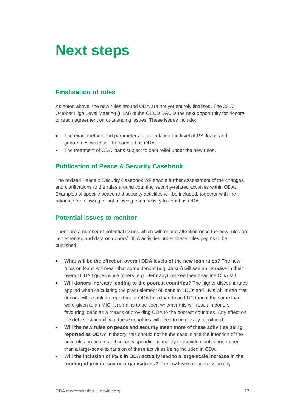## <span id="page-17-0"></span>**Next steps**

## <span id="page-17-1"></span>**Finalisation of rules**

As noted above, the new rules around ODA are not yet entirely finalised. The 2017 October High Level Meeting (HLM) of the OECD DAC is the next opportunity for donors to reach agreement on outstanding issues. These issues include:

- The exact method and parameters for calculating the level of PSI loans and guarantees which will be counted as ODA
- <span id="page-17-2"></span>The treatment of ODA loans subject to debt relief under the new rules.

## **Publication of Peace & Security Casebook**

The revised Peace & Security Casebook will enable further assessment of the changes and clarifications to the rules around counting security-related activities within ODA. Examples of specific peace and security activities will be included, together with the rationale for allowing or not allowing each activity to count as ODA.

## <span id="page-17-3"></span>**Potential issues to monitor**

There are a number of potential issues which will require attention once the new rules are implemented and data on donors' ODA activities under these rules begins to be published:

- **What will be the effect on overall ODA levels of the new loan rules?** The new rules on loans will mean that some donors (e.g. Japan) will see an increase in their overall ODA figures while others (e.g. Germany) will see their headline ODA fall.
- **Will donors increase lending to the poorest countries?** The higher discount rates applied when calculating the grant element of loans to LDCs and LICs will mean that donors will be able to report more ODA for a loan to an LDC than if the same loan were given to an MIC. It remains to be seen whether this will result in donors favouring loans as a means of providing ODA to the poorest countries. Any effect on the debt sustainability of these countries will need to be closely monitored.
- **Will the new rules on peace and security mean more of these activities being reported as ODA?** In theory, this should not be the case, since the intention of the new rules on peace and security spending is mainly to provide clarification rather than a large-scale expansion of these activities being included in ODA.
- **Will the inclusion of PSIs in ODA actually lead to a large-scale increase in the funding of private-sector organisations?** The low levels of concessionality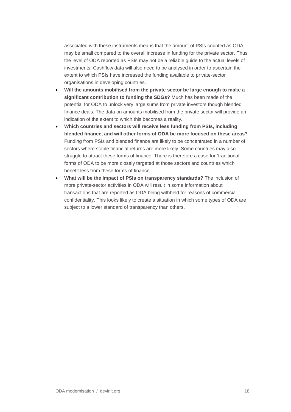associated with these instruments means that the amount of PSIs counted as ODA may be small compared to the overall increase in funding for the private sector. Thus the level of ODA reported as PSIs may not be a reliable guide to the actual levels of investments. Cashflow data will also need to be analysed in order to ascertain the extent to which PSIs have increased the funding available to private-sector organisations in developing countries.

- **Will the amounts mobilised from the private sector be large enough to make a significant contribution to funding the SDGs?** Much has been made of the potential for ODA to unlock very large sums from private investors though blended finance deals. The data on amounts mobilised from the private sector will provide an indication of the extent to which this becomes a reality.
- **Which countries and sectors will receive less funding from PSIs, including blended finance, and will other forms of ODA be more focused on these areas?** Funding from PSIs and blended finance are likely to be concentrated in a number of sectors where stable financial returns are more likely. Some countries may also struggle to attract these forms of finance. There is therefore a case for 'traditional' forms of ODA to be more closely targeted at those sectors and countries which benefit less from these forms of finance.
- **What will be the impact of PSIs on transparency standards?** The inclusion of more private-sector activities in ODA will result in some information about transactions that are reported as ODA being withheld for reasons of commercial confidentiality. This looks likely to create a situation in which some types of ODA are subject to a lower standard of transparency than others.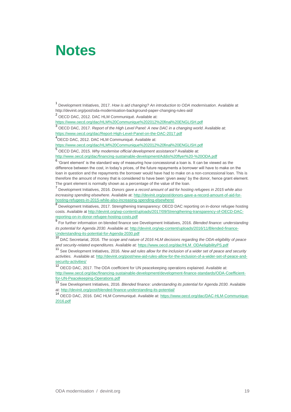## <span id="page-19-0"></span>**Notes**

1 Development Initiatives, 2017. *How is aid changing? An introduction to ODA modernisation*. Available at http://devinit.org/post/oda-modernisation-background-paper-changing-rules-aid/

<sup>2</sup> OECD DAC, 2012. DAC HLM Communiqué. Available at:

<https://www.oecd.org/dac/HLM%20Communique%202012%20final%20ENGLISH.pdf>

3 OECD DAC, 2017. *Report of the High Level Panel: A new DAC in a changing world*. Available at: <https://www.oecd.org/dac/Report-High-Level-Panel-on-the-DAC-2017.pdf>

4 OECD DAC, 2012. DAC HLM Communiqué. Available at:

<https://www.oecd.org/dac/HLM%20Communique%202012%20final%20ENGLISH.pdf>

5 OECD DAC, 2015. *Why modernise official development assistance?* Available at:

<http://www.oecd.org/dac/financing-sustainable-development/Addis%20flyer%20-%20ODA.pdf>

<sup>6</sup> 'Grant element' is the standard way of measuring how concessional a loan is. It can be viewed as the difference between the cost, in today's prices, of the future repayments a borrower will have to make on the loan in question and the repayments the borrower would have had to make on a non-concessional loan. This is therefore the amount of money that is considered to have been 'given away' by the donor, hence grant element. The grant element is normally shown as a percentage of the value of the loan.

7 Development Initiatives, 2016. *Donors gave a record amount of aid for hosting refugees in 2015 while also increasing spending elsewhere*. Available at: [http://devinit.org/post/donors-gave-a-record-amount-of-aid-for](http://devinit.org/post/donors-gave-a-record-amount-of-aid-for-hosting-refugees-in-2015-while-also-increasing-spending-elsewhere/)[hosting-refugees-in-2015-while-also-increasing-spending-elsewhere/](http://devinit.org/post/donors-gave-a-record-amount-of-aid-for-hosting-refugees-in-2015-while-also-increasing-spending-elsewhere/)

<sup>8</sup> Development Initiatives, 2017. Strengthening transparency: OECD DAC reporting on in-donor refugee hosting costs. Available at [http://devinit.org/wp-content/uploads/2017/09/Strengthening-transparency-of-OECD-DAC](http://devinit.org/wp-content/uploads/2017/09/Strengthening-transparency-of-OECD-DAC-reporting-on-in-donor-refugee-hosting-costs.pdf)[reporting-on-in-donor-refugee-hosting-costs.pdf](http://devinit.org/wp-content/uploads/2017/09/Strengthening-transparency-of-OECD-DAC-reporting-on-in-donor-refugee-hosting-costs.pdf)

9 For further information on blended finance see Development Initiatives, 2016. *Blended finance: understanding its potential for Agenda 2030*. Available at[: http://devinit.org/wp-content/uploads/2016/11/Blended-finance-](http://devinit.org/wp-content/uploads/2016/11/Blended-finance-Understanding-its-potential-for-Agenda-2030.pdf)[Understanding-its-potential-for-Agenda-2030.pdf](http://devinit.org/wp-content/uploads/2016/11/Blended-finance-Understanding-its-potential-for-Agenda-2030.pdf)<br>19 p + 0 0 u + + + 0 0 10  $\overline{r}$ 

<sup>10</sup> DAC Secretariat, 2016. *The scope and nature of 2016 HLM decisions regarding the ODA-eligibility of peace and security-related expenditures.* Available at: [https://www.oecd.org/dac/HLM\\_ODAeligibilityPS.pdf](https://www.oecd.org/dac/HLM_ODAeligibilityPS.pdf)

<sup>11</sup> See Development Initiatives, 2016. *New aid rules allow for the inclusion of a wider set of peace and security activities.* Available at[: http://devinit.org/post/new-aid-rules-allow-for-the-inclusion-of-a-wider-set-of-peace-and](http://devinit.org/post/new-aid-rules-allow-for-the-inclusion-of-a-wider-set-of-peace-and-security-activities/)[security-activities/](http://devinit.org/post/new-aid-rules-allow-for-the-inclusion-of-a-wider-set-of-peace-and-security-activities/)

OECD DAC, 2017. The ODA coefficient for UN peacekeeping operations explained. Available at: [http://www.oecd.org/dac/financing-sustainable-development/development-finance-standards/ODA-Coefficient](http://www.oecd.org/dac/financing-sustainable-development/development-finance-standards/ODA-Coefficient-for-UN-Peacekeeping-Operations.pdf)[for-UN-Peacekeeping-Operations.pdf](http://www.oecd.org/dac/financing-sustainable-development/development-finance-standards/ODA-Coefficient-for-UN-Peacekeeping-Operations.pdf)

<sup>13</sup> See Development Initiatives, 2016. *Blended finance: understanding its potential for Agenda 2030.* Available at[: http://devinit.org/post/blended-finance-understanding-its-potential/](http://devinit.org/post/blended-finance-understanding-its-potential/)

<sup>14</sup> OECD DAC, 2016. DAC HLM Communiqué. Available at: [https://www.oecd.org/dac/DAC-HLM-Communique-](https://www.oecd.org/dac/DAC-HLM-Communique-2016.pdf)[2016.pdf](https://www.oecd.org/dac/DAC-HLM-Communique-2016.pdf)